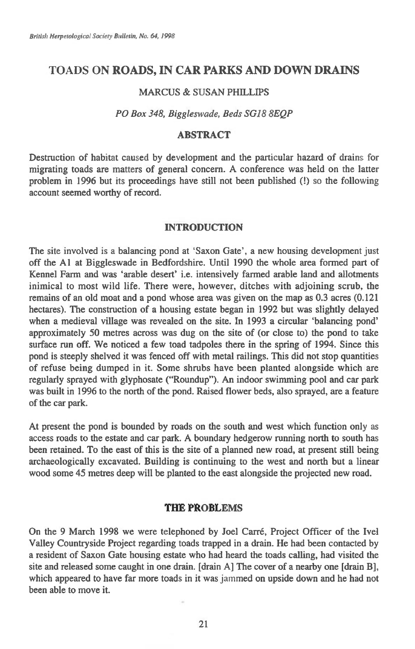# TOADS ON **ROADS, IN CAR PARKS AND DOWN DRAINS**

#### MARCUS & SUSAN PHILLIPS

#### *PO Box 348, Biggleswade, Beds SG18 8EQP*

## **ABSTRACT**

Destruction of habitat caused by development and the particular hazard of drains for migrating toads are matters of general concern. A conference was held on the latter problem in 1996 but its proceedings have still not been published (!) so the following account seemed worthy of record.

### **INTRODUCTION**

The site involved is a balancing pond at 'Saxon Gate', a new housing development just off the Al at Biggleswade in Bedfordshire. Until 1990 the whole area formed part of Kennel Farm and was 'arable desert' i.e. intensively farmed arable land and allotments inimical to most wild life. There were, however, ditches with adjoining scrub, the remains of an old moat and a pond whose area was given on the map as 0.3 acres (0.121 hectares). The construction of a housing estate began in 1992 but was slightly delayed when a medieval village was revealed on the site. In 1993 a circular 'balancing pond' approximately 50 metres across was dug on the site of (or close to) the pond to take surface run off. We noticed a few toad tadpoles there in the spring of 1994. Since this pond is steeply shelved it was fenced off with metal railings. This did not stop quantities of refuse being dumped in it. Some shrubs have been planted alongside which are regularly sprayed with glyphosate ("Roundup"). An indoor swimming pool and car park was built in 1996 to the north of the pond. Raised flower beds, also sprayed, are a feature of the car park.

At present the pond is bounded by roads on the south and west which function only as access roads to the estate and car park. A boundary hedgerow running north to south has been retained. To the east of this is the site of a planned new road, at present still being archaeologically excavated. Building is continuing to the west and north but a linear wood some 45 metres deep will be planted to the east alongside the projected new road.

## **THE PROBLEMS**

On the 9 March 1998 we were telephoned by Joel Carré, Project Officer of the Ivel Valley Countryside Project regarding toads trapped in a drain. He had been contacted by a resident of Saxon Gate housing estate who had heard the toads calling, had visited the site and released some caught in one drain. [drain Al The cover of a nearby one [drain Bj, which appeared to have far more toads in it was jammed on upside down and he had not been able to move it.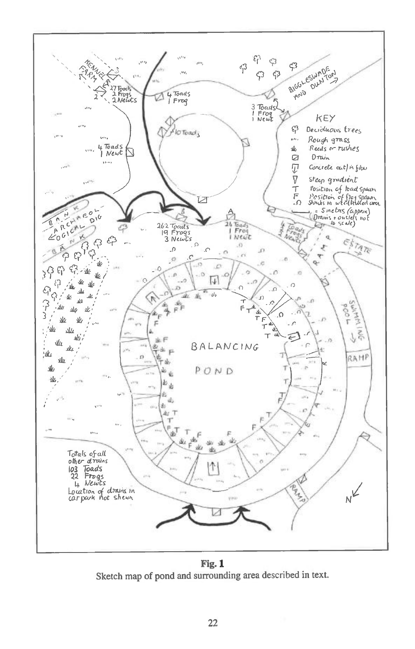

Fig. 1 Sketch map of pond and surrounding area described in text.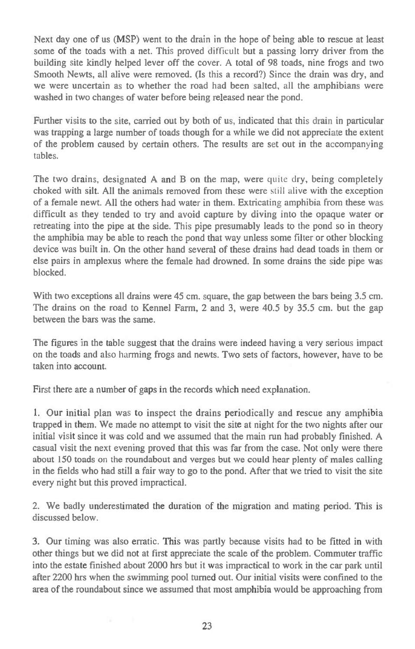Next day one of us (MSP) went to the drain in the hope of being able to rescue at least some of the toads with a net. This proved difficult but a passing lorry driver from the building site kindly helped lever off the cover. A total of 98 toads, nine frogs and two Smooth Newts, all alive were removed. (Is this a record?) Since the drain was dry, and we were uncertain as to whether the road had been salted, all the amphibians were washed in two changes of water before being released near the pond.

Further visits to the site, carried out by both of us, indicated that this drain in particular was trapping a large number of toads though for a while we did not appreciate the extent of the problem caused by certain others. The results are set out in the accompanying tables.

The two drains, designated A and B on the map, were quite dry, being completely choked with silt. All the animals removed from these were still alive with the exception of a female newt. All the others had water in them. Extricating amphibia from these was difficult as they tended to try and avoid capture by diving into the opaque water or retreating into the pipe at the side. This pipe presumably leads to the pond so in theory the amphibia may be able to reach the pond that way unless some filter or other blocking device was built in. On the other hand several of these drains had dead toads in them or else pairs in amplexus where the female had drowned. In some drains the side pipe was blocked.

With two exceptions all drains were 45 cm, square, the gap between the bars being 3.5 cm. The drains on the road to Kennel Farm, 2 and 3, were 40.5 by 35.5 cm. but the gap between the bars was the same.

The figures in the table suggest that the drains were indeed having a very serious impact on the toads and also harming frogs and newts. Two sets of factors, however, have to be taken into account.

First there are a number of gaps in the records which need explanation.

1. Our initial plan was to inspect the drains periodically and rescue any amphibia trapped in them. We made no attempt to visit the site at night for the two nights after our initial visit since it was cold and we assumed that the main run had probably finished. A casual visit the next evening proved that this was far from the case. Not only were there about 150 toads on the roundabout and verges but we could hear plenty of males calling in the fields who had still a fair way to go to the pond. After that we tried to visit the site every night but this proved impractical.

2. We badly underestimated the duration of the migration and mating period. This is discussed below.

3. Our timing was also erratic. This was partly because visits had to be fitted in with other things but we did not at first appreciate the scale of the problem. Commuter traffic into the estate finished about 2000 hrs but it was impractical to work in the car park until after 2200 hrs when the swimming pool turned out. Our initial visits were confined to the area of the roundabout since we assumed that most amphibia would be approaching from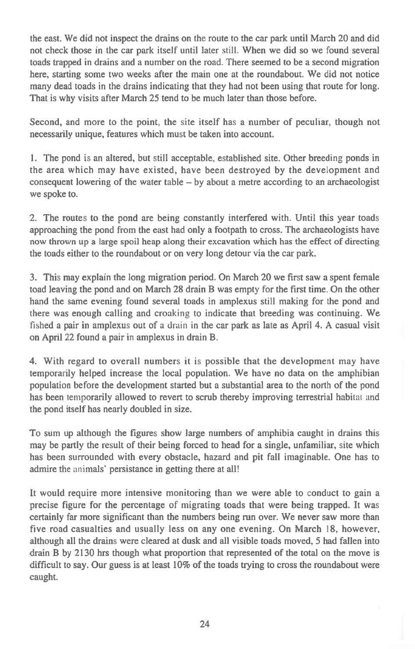the east. We did not inspect the drains on the route to the car park until March 20 and did not check those in the car park itself until later still. When we did so we found several toads trapped in drains and a number on the road. There seemed to be a second migration here, starting some two weeks after the main one at the roundabout. We did not notice many dead toads in the drains indicating that they had not been using that route for long. That is why visits after March 25 tend to be much later than those before.

Second, and more to the point, the site itself has a number of peculiar, though not necessarily unique, features which must be taken into account.

1. The pond is an altered, but still acceptable, established site. Other breeding ponds in the area which may have existed, have been destroyed by the development and consequent lowering of the water table — by about a metre according to an archaeologist we spoke to.

2. The routes to the pond are being constantly interfered with. Until this year toads approaching the pond from the east had only a footpath to cross. The archaeologists have now thrown up a large spoil heap along their excavation which has the effect of directing the toads either to the roundabout or on very long detour via the car park.

3. This may explain the long migration period. On March 20 we first saw a spent female toad leaving the pond and on March 28 drain B was empty for the first time. On the other hand the same evening found several toads in amplexus still making for the pond and there was enough calling and croaking to indicate that breeding was continuing. We fished a pair in amplexus out of a drain in the car park as late as April 4. A casual visit on April 22 found a pair in amplexus in drain B.

4. With regard to overall numbers it is possible that the development may have temporarily helped increase the local population. We have no data on the amphibian population before the development started but a substantial area to the north of the pond has been temporarily allowed to revert to scrub thereby improving terrestrial habitat and the pond itself has nearly doubled in size.

To sum up although the figures show large numbers of amphibia caught in drains this may be partly the result of their being forced to head for a single, unfamiliar, site which has been surrounded with every obstacle, hazard and pit fall imaginable. One has to admire the animals' persistance in getting there at all!

It would require more intensive monitoring than we were able to conduct to gain a precise figure for the percentage of migrating toads that were being trapped. It was certainly far more significant than the numbers being run over. We never saw more than five road casualties and usually less on any one evening. On March 18, however, although all the drains were cleared at dusk and all visible toads moved, 5 had fallen into drain **B** by 2130 hrs though what proportion that represented of the total on the move is difficult to say. Our guess is at least 10% of the toads trying to cross the roundabout were caught.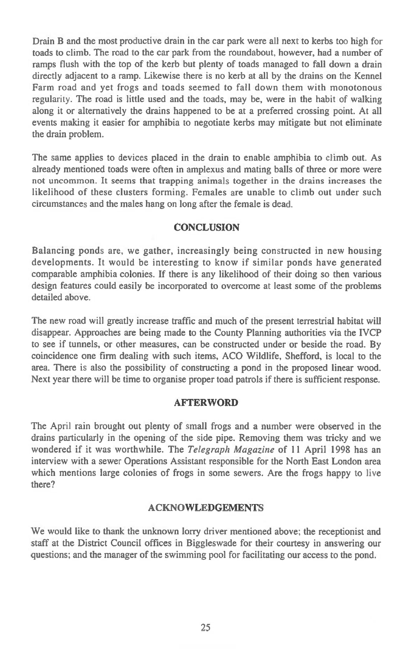Drain B and the most productive drain in the car park were all next to kerbs too high for toads to climb. The road to the car park from the roundabout, however, had a number of ramps flush with the top of the kerb but plenty of toads managed to fall down a drain directly adjacent to a ramp. Likewise there is no kerb at all by the drains on the Kennel Farm road and yet frogs and toads seemed to fall down them with monotonous regularity. The road is little used and the toads, may be, were in the habit of walking along it or alternatively the drains happened to be at a preferred crossing point. At all events making it easier for amphibia to negotiate kerbs may mitigate but not eliminate the drain problem.

The same applies to devices placed in the drain to enable amphibia to climb out. As already mentioned toads were often in amplexus and mating balls of three or more were not uncommon. It seems that trapping animals together in the drains increases the likelihood of these clusters forming. Females are unable to climb out under such circumstances and the males hang on long after the female is dead.

## **CONCLUSION**

Balancing ponds are, we gather, increasingly being constructed in new housing developments. It would be interesting to know if similar ponds have generated comparable amphibia colonies. If there is any likelihood of their doing so then various design features could easily be incorporated to overcome at least some of the problems detailed above.

The new road will greatly increase traffic and much of the present terrestrial habitat will disappear. Approaches are being made to the County Planning authorities via the IVCP to see if tunnels, or other measures, can be constructed under or beside the road. By coincidence one firm dealing with such items, ACO Wildlife, Shefford, is local to the area. There is also the possibility of constructing a pond in the proposed linear wood. Next year there will be time to organise proper toad patrols if there is sufficient response.

### **AFTERWORD**

The April rain brought out plenty of small frogs and a number were observed in the drains particularly in the opening of the side pipe. Removing them was tricky and we wondered if it was worthwhile. The *Telegraph Magazine* of **11** April 1998 has an interview with a sewer Operations Assistant responsible for the North East London area which mentions large colonies of frogs in some sewers. Are the frogs happy to live there?

### **ACKNOWLEDGEMENTS**

We would like to thank the unknown lorry driver mentioned above; the receptionist and staff at the District Council offices in Biggleswade for their courtesy in answering our questions; and the manager of the swimming pool for facilitating our access to the pond.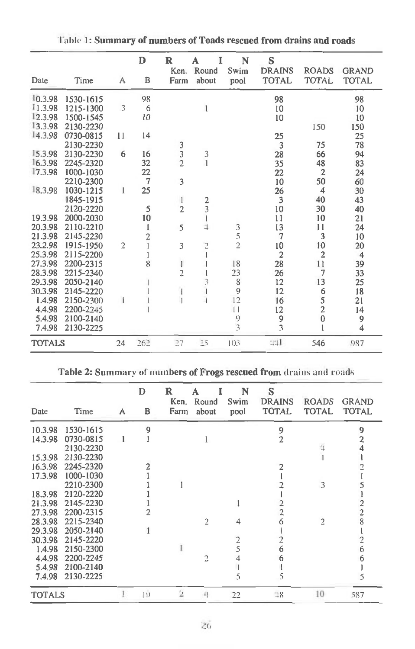| Table 1: Summary of numbers of Toads rescued from drains and roads |           |                |                |                                            |                          |                                            |                                    |                              |                              |
|--------------------------------------------------------------------|-----------|----------------|----------------|--------------------------------------------|--------------------------|--------------------------------------------|------------------------------------|------------------------------|------------------------------|
| Date                                                               | Time      | A              | D<br>B         | $\mathbf R$<br>Ken.<br>Farm                | I<br>A<br>Round<br>about | N<br>Swim<br>pool                          | S<br><b>DRAINS</b><br><b>TOTAL</b> | <b>ROADS</b><br><b>TOTAL</b> | <b>GRAND</b><br><b>TOTAL</b> |
| 10.3.98                                                            | 1530-1615 |                | 98             |                                            |                          |                                            | 98                                 |                              | 98                           |
| 11.3.98                                                            | 1215-1300 | 3              | 6              |                                            | 1                        |                                            | 10                                 |                              | 10                           |
| 12.3.98                                                            | 1500-1545 |                | 10             |                                            |                          |                                            | 10                                 |                              | 10                           |
| 13.3.98                                                            | 2130-2230 |                |                |                                            |                          |                                            |                                    | 150                          | 150                          |
| 14.3.98                                                            | 0730-0815 | 11             | 14             |                                            |                          |                                            | 25                                 |                              | 25                           |
|                                                                    | 2130-2230 |                |                |                                            |                          |                                            | 3                                  | 75                           | 78                           |
| 15.3.98                                                            | 2130-2230 | 6              | 16             | $\begin{array}{c} 3 \\ 3 \\ 2 \end{array}$ |                          |                                            | 28                                 | 66                           | 94                           |
| 16.3.98                                                            | 2245-2320 |                | 32             |                                            | $\frac{3}{1}$            |                                            | 35                                 | 48                           | 83                           |
| 17.3.98                                                            | 1000-1030 |                | 22             |                                            |                          |                                            | 22                                 | $\overline{2}$               | 24                           |
|                                                                    | 2210-2300 |                | $\overline{7}$ | 3                                          |                          |                                            | 10                                 | 50                           | 60                           |
| 18.3.98                                                            | 1030-1215 | 1              | 25             |                                            |                          |                                            | 26                                 | $\overline{4}$               | 30                           |
|                                                                    | 1845-1915 |                |                | 1                                          |                          |                                            | 3                                  | 40                           | 43                           |
|                                                                    | 2120-2220 |                | 5              | $\overline{2}$                             | $\frac{2}{3}$            |                                            | 10                                 | 30                           | 40                           |
| 19.3.98                                                            | 2000-2030 |                | 10             |                                            |                          |                                            | 11                                 | 10                           | 21                           |
| 20.3.98                                                            | 2110-2210 |                | 1              | 5                                          | $\overline{4}$           |                                            | 13                                 | 11                           | 24                           |
| 21.3.98                                                            | 2145-2230 |                | $\overline{c}$ |                                            |                          | $\begin{array}{c} 3 \\ 5 \\ 2 \end{array}$ | 7                                  | 3                            | 10                           |
| 23.2.98                                                            | 1915-1950 | $\overline{2}$ |                | 3                                          | $\overline{c}$           |                                            | 10                                 | 10                           | 20                           |
| 25.3.98                                                            | 2115-2200 |                |                |                                            |                          |                                            | $\overline{c}$                     | $\overline{2}$               | $\overline{4}$               |
| 27.3.98                                                            | 2200-2315 |                | 8              | $\mathbf{I}$                               |                          | 18                                         | 28                                 | 11                           | 39                           |
| 28.3.98                                                            | 2215-2340 |                |                | $\overline{c}$                             |                          | 23                                         | 26                                 | $\overline{7}$               | 33                           |
| 29.3.98                                                            | 2050-2140 |                |                |                                            |                          | $\,$ 8 $\,$                                | 12                                 | 13                           | 25                           |
| 30.3.98                                                            | 2145-2220 |                |                | 1                                          |                          | $\overline{9}$                             | 12                                 |                              | 18                           |
| 1.4.98                                                             | 2150-2300 |                |                | $\overline{1}$                             |                          | 12                                         | 16                                 | $65$<br>2                    | 21                           |
| 4.4.98                                                             | 2200-2245 |                |                |                                            |                          | 11                                         | 12                                 |                              | 14                           |
| 5.4.98                                                             | 2100-2140 |                |                |                                            |                          | 9                                          | 9                                  | $\bf{0}$                     | 9                            |
| 7.4.98                                                             | 2130-2225 |                |                |                                            |                          | $\overline{\mathbf{3}}$                    | 3                                  | 1                            | $\overline{4}$               |
| <b>TOTALS</b>                                                      |           | 24             | 262            | 27                                         | 25                       | 103                                        | 441                                | 546                          | 987                          |

|               |           |   | D           | R<br>Ken.      | A<br>Round   | N<br>Swim | S<br><b>DRAINS</b> | <b>ROADS</b>   | <b>GRAND</b>                                 |
|---------------|-----------|---|-------------|----------------|--------------|-----------|--------------------|----------------|----------------------------------------------|
| Date          | Time      | A | В           | Farm           | about        | pool      | <b>TOTAL</b>       | <b>TOTAL</b>   | <b>TOTAL</b>                                 |
| 10.3.98       | 1530-1615 |   | 9           |                |              |           | 9                  |                | 9                                            |
| 14.3.98       | 0730-0815 |   |             |                |              |           | $\overline{2}$     |                |                                              |
|               | 2130-2230 |   |             |                |              |           |                    |                | $\frac{2}{4}$                                |
| 15.3.98       | 2130-2230 |   |             |                |              |           |                    |                |                                              |
| 16.3.98       | 2245-2320 |   |             |                |              |           |                    |                |                                              |
| 17.3.98       | 1000-1030 |   |             |                |              |           |                    |                |                                              |
|               | 2210-2300 |   |             |                |              |           |                    | 3              | 5                                            |
| 18.3.98       | 2120-2220 |   |             |                |              |           |                    |                |                                              |
| 21.3.98       | 2145-2230 |   |             |                |              |           |                    |                |                                              |
| 27.3.98       | 2200-2315 |   |             |                |              |           | $\overline{2}$     |                | $\begin{array}{c}\n2 \\ 2 \\ 8\n\end{array}$ |
| 28.3.98       | 2215-2340 |   |             |                | 2            | 4         |                    | $\overline{2}$ |                                              |
| 29.3.98       | 2050-2140 |   |             |                |              |           |                    |                |                                              |
| 30.3.98       | 2145-2220 |   |             |                |              |           |                    |                | $\overline{\mathbf{c}}$                      |
| 1.4.98        | 2150-2300 |   |             |                |              | 2<br>5    |                    |                | 6                                            |
| 4.4.98        | 2200-2245 |   |             |                | 2            |           |                    |                | 6                                            |
| 5.4.98        | 2100-2140 |   |             |                |              |           |                    |                |                                              |
| 7.4.98        | 2130-2225 |   |             |                |              |           | 5                  |                |                                              |
| <b>TOTALS</b> |           |   | $ 9\rangle$ | $\overline{2}$ | $\mathbb{Z}$ | 22        | $-18$              | 10             | 587                                          |